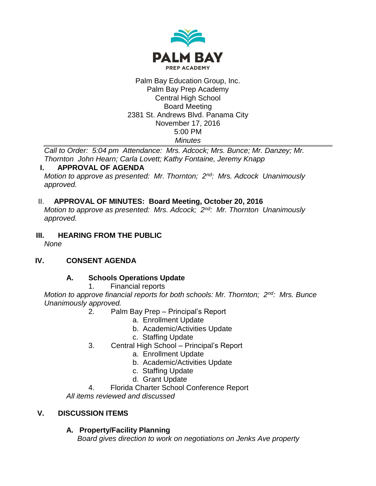

#### Palm Bay Education Group, Inc. Palm Bay Prep Academy Central High School Board Meeting 2381 St. Andrews Blvd. Panama City November 17, 2016 5:00 PM *Minutes*

*Call to Order: 5:04 pm Attendance: Mrs. Adcock; Mrs. Bunce; Mr. Danzey; Mr. Thornton John Hearn; Carla Lovett; Kathy Fontaine, Jeremy Knapp*

# **I. APPROVAL OF AGENDA**

*Motion to approve as presented: Mr. Thornton; 2nd: Mrs. Adcock Unanimously approved.*

#### II. **APPROVAL OF MINUTES: Board Meeting, October 20, 2016**

*Motion to approve as presented: Mrs. Adcock; 2nd: Mr. Thornton Unanimously approved.*

**III. HEARING FROM THE PUBLIC** *None*

# **IV. CONSENT AGENDA**

# **A. Schools Operations Update**

1. Financial reports

*Motion to approve financial reports for both schools: Mr. Thornton; 2nd: Mrs. Bunce Unanimously approved.*

- 2. Palm Bay Prep Principal's Report
	- a. Enrollment Update
	- b. Academic/Activities Update
	- c. Staffing Update
- 3. Central High School Principal's Report
	- a. Enrollment Update
	- b. Academic/Activities Update
	- c. Staffing Update
	- d. Grant Update
- 4. Florida Charter School Conference Report

*All items reviewed and discussed*

# **V. DISCUSSION ITEMS**

#### **A. Property/Facility Planning**

*Board gives direction to work on negotiations on Jenks Ave property*